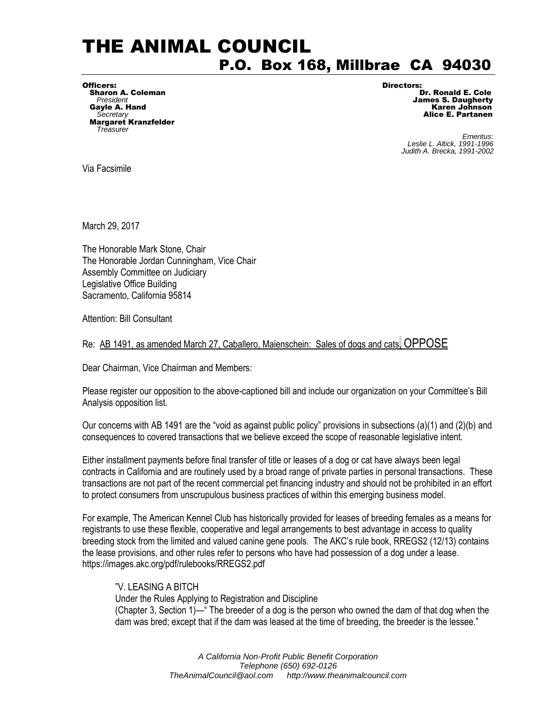## THE ANIMAL COUNCIL P.O. Box 168, Millbrae CA 94030

Officers: Directors: Sharon A. Coleman Secretary<br>**Margaret Kranzfelder**<br>Treasurer

**President James S. Daugherty** Gayle A. Hand **Gayle A. Hand Secretary** Control of the Control of the Control of the Control of the Control of the<br>Secretary **Alice E. Partanen** 

**Find the Superior Contract of the Contract of Contract of Contract of Contract of Contract of Contract of Contract of Contract of Contract of Contract of Contract of Contract of Contract of Contract of Contract of Contrac**  *Leslie L. Altick, 1991-1996 Judith A. Brecka, 1991-2002* 

Via Facsimile

March 29, 2017

The Honorable Mark Stone, Chair The Honorable Jordan Cunningham, Vice Chair Assembly Committee on Judiciary Legislative Office Building Sacramento, California 95814

Attention: Bill Consultant

Re: AB 1491, as amended March 27, Caballero, Maienschein: Sales of dogs and cats, OPPOSE

Dear Chairman, Vice Chairman and Members:

Please register our opposition to the above-captioned bill and include our organization on your Committee's Bill Analysis opposition list.

Our concerns with AB 1491 are the "void as against public policy" provisions in subsections (a)(1) and (2)(b) and consequences to covered transactions that we believe exceed the scope of reasonable legislative intent.

Either installment payments before final transfer of title or leases of a dog or cat have always been legal contracts in California and are routinely used by a broad range of private parties in personal transactions. These transactions are not part of the recent commercial pet financing industry and should not be prohibited in an effort to protect consumers from unscrupulous business practices of within this emerging business model.

For example, The American Kennel Club has historically provided for leases of breeding females as a means for registrants to use these flexible, cooperative and legal arrangements to best advantage in access to quality breeding stock from the limited and valued canine gene pools. The AKC's rule book, RREGS2 (12/13) contains the lease provisions, and other rules refer to persons who have had possession of a dog under a lease. https://images.akc.org/pdf/rulebooks/RREGS2.pdf

## "V. LEASING A BITCH

Under the Rules Applying to Registration and Discipline (Chapter 3, Section 1)—" The breeder of a dog is the person who owned the dam of that dog when the dam was bred; except that if the dam was leased at the time of breeding, the breeder is the lessee."

> *A California Non-Profit Public Benefit Corporation Telephone (650) 692-0126 [TheAnimalCouncil@aol.com](mailto:TheAnimalCouncil@aol.com) http://www.theanimalcouncil.com*